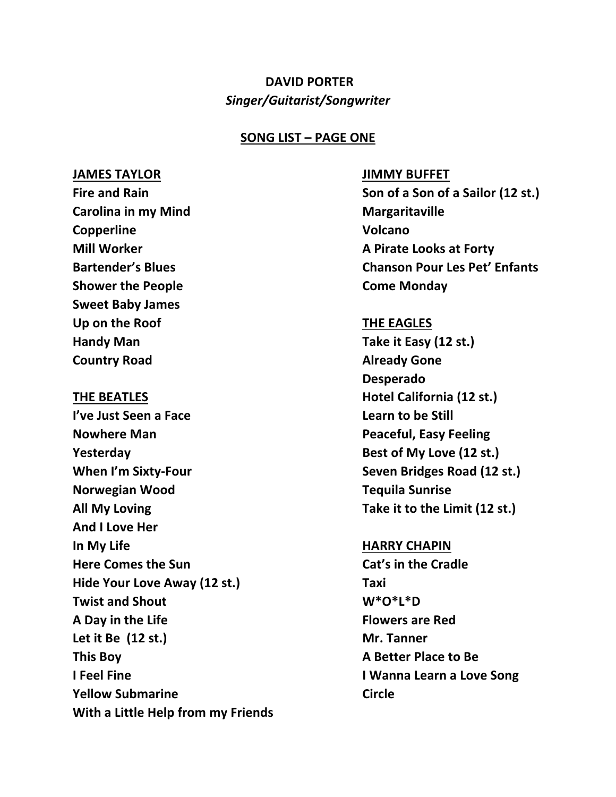# **DAVID PORTER** *Singer/Guitarist/Songwriter*

### **SONG LIST – PAGE ONE**

### **JAMES TAYLOR JIMMY BUFFET**

**Carolina in my Mind Margaritaville Copperline Volcano Shower the People Shower Shower the People Shower Shower Shower Shower Shower Shower Shower Shower Shower Shower Shower Shower Shower Shower Shower Shower Shower Shower Shower Shower Shower Shower Shower Shower Shower Sho Sweet Baby James Up on the Roof THE EAGLES Handy Man Take it Easy (12 st.) Country Road Country Road Already Gone** 

**I've Just Seen a Face**  Learn to be Still **Nowhere Man Peaceful, Easy Feeling Pesterday Best of My Love** (12 st.) **When I'm Sixty-Four Seven Bridges Road** (12 st.) **Norwegian Wood Tequila Sunrise All My Loving Take it to the Limit (12 st.) And I Love Her In My Life HARRY CHAPIN Here Comes the Sun Cat's in the Cradle Hide Your Love Away (12 st.) Taxi Twist and Shout W\*O\*L\*D A Day in the Life Flowers are Red** Let it Be (12 st.) Mr. Tanner **This Boy A Better Place to Be I Feel Fine I Wanna Learn a Love Song Yellow Submarine Circle With a Little Help from my Friends**

**Fire and Rain Son of a Son of a Sailor (12 st.) Mill Worker A Pirate Looks at Forty Bartender's Blues Chanson Pour Les Pet' Enfants**

**Desperado THE BEATLES Hotel California** (12 st.)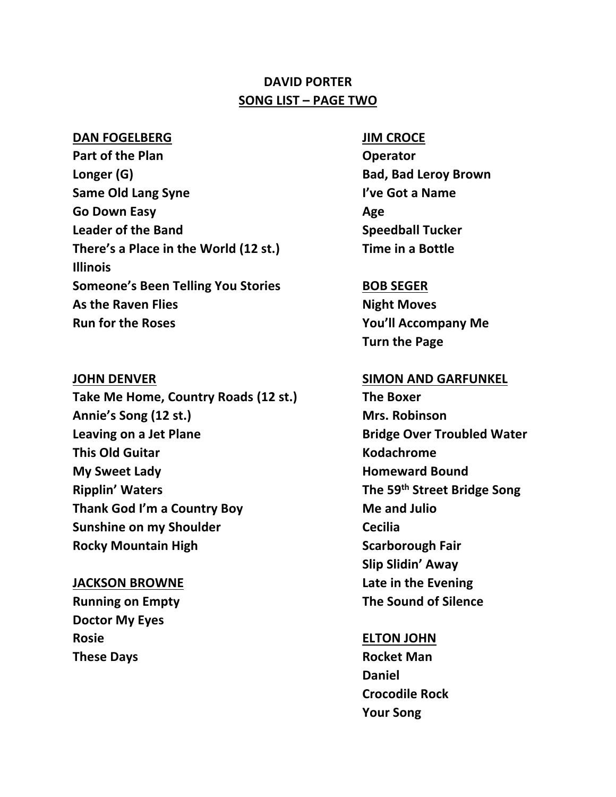# **DAVID PORTER SONG LIST – PAGE TWO**

### **DAN FOGELBERG JIM CROCE**

**Part of the Plan Constanting Constanting Constanting Operator Longer** (G) **Bad, Bad Leroy Brown Same Old Lang Syne I've Got a Name Go Down Easy Age Leader of the Band Speedball Tucker There's a Place in the World (12 st.) Time in a Bottle Illinois Someone's Been Telling You Stories BOB SEGER** As the Raven Flies **Night Moves Run for the Roses You'll Accompany Me**

**Take Me Home, Country Roads (12 st.) The Boxer** Annie's Song (12 st.) Mrs. Robinson **Leaving on a Jet Plane Bridge Over Troubled Water This Old Guitar Construction Construction Construction Construction Construction Construction Construction Construction Construction Construction Construction Construction Construction Construction Construction Construc My Sweet Lady Homeward Bound Ripplin' Waters The 59th Street Bridge Song Thank God I'm a Country Boy <b>Me** and Julio **Sunshine on my Shoulder Cecilia Rocky Mountain High Scarborough Fair** 

# **Running on Empty The Sound of Silence Doctor My Eyes Rosie ELTON JOHN These Days Rocket Man**

**Turn the Page**

### **JOHN DENVER SIMON AND GARFUNKEL**

**Slip Slidin' Away JACKSON BROWNE Late in the Evening**

**Daniel Crocodile Rock Your Song**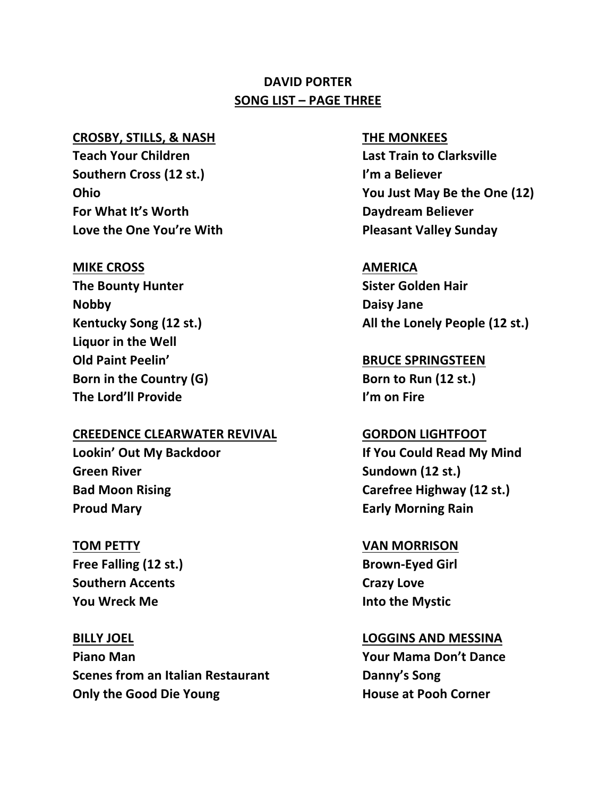# **DAVID PORTER SONG LIST – PAGE THREE**

### **CROSBY, STILLS, & NASH THE MONKEES**

**Teach Your Children Last Train to Clarksville Southern Cross (12 st.) I'm a Believer For What It's Worth Daydream Believer Love the One You're With Pleasant Valley Sunday**

### **MIKE CROSS AMERICA**

**The Bounty Hunter Sister Golden Hair Nobby Daisy Jane Liquor in the Well Old Paint Peelin' BRUCE SPRINGSTEEN Born in the Country (G) Born to Run** (12 st.) **The Lord'll Provide I'm on Fire**

### **CREEDENCE CLEARWATER REVIVAL GORDON LIGHTFOOT**

**Green River Sundown** (12 st.) **Proud Mary Early Morning Rain** 

**Free Falling (12 st.) Brown-Eyed Girl Southern Accents Crazy Love You Wreck Me Into the Mystic**

**BILLY JOEL LOGGINS AND MESSINA Piano Man Your Mama Don't Dance Scenes from an Italian Restaurant Danny's Song Only the Good Die Young The Community Community House at Pooh Corner** 

**Ohio You Just May Be the One (12)**

**Kentucky Song (12 st.) All the Lonely People (12 st.)**

**Lookin' Out My Backdoor If You Could Read My Mind Bad Moon Rising Carefree Highway (12 st.)**

### **TOM PETTY VAN MORRISON**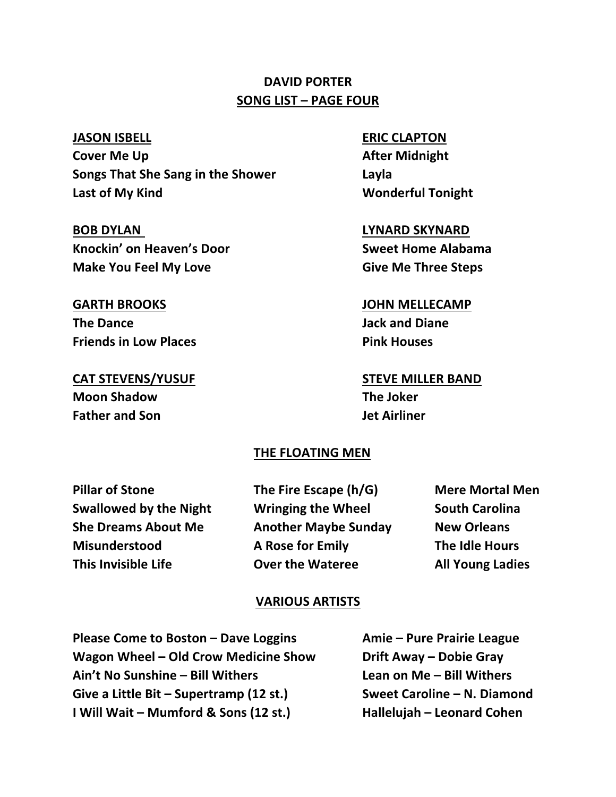# **DAVID PORTER SONG LIST – PAGE FOUR**

**Cover Me Up After Midnight Songs That She Sang in the Shower Layla** Last of My Kind **Wonderful Tonight** 

**BOB DYLAN LYNARD SKYNARD Knockin' on Heaven's Door Sweet Home Alabama Make You Feel My Love Community Controllering Give Me Three Steps** 

# **GARTH BROOKS JOHN MELLECAMP The Dance Jack and Diane Friends in Low Places Pink Houses**

**Moon Shadow The Joker Father and Son Jet Airliner**

### **JASON ISBELL ERIC CLAPTON**

**CAT STEVENS/YUSUF STEVE MILLER BAND**

### **THE FLOATING MEN**

**Pillar of Stone The Fire Escape (h/G) Mere Mortal Men**

**Swallowed by the Night Wringing the Wheel South Carolina She Dreams About Me Another Maybe Sunday New Orleans Misunderstood A Rose for Emily The Idle Hours This Invisible Life Over the Wateree All Young Ladies**

### **VARIOUS ARTISTS**

**Please Come to Boston – Dave Loggins Amie – Pure Prairie League Wagon Wheel – Old Crow Medicine Show Drift Away – Dobie Gray Ain't No Sunshine – Bill Withers Lean on Me – Bill Withers Give a Little Bit – Supertramp (12 st.) Sweet Caroline – N. Diamond I Will Wait – Mumford & Sons (12 st.) Hallelujah – Leonard Cohen**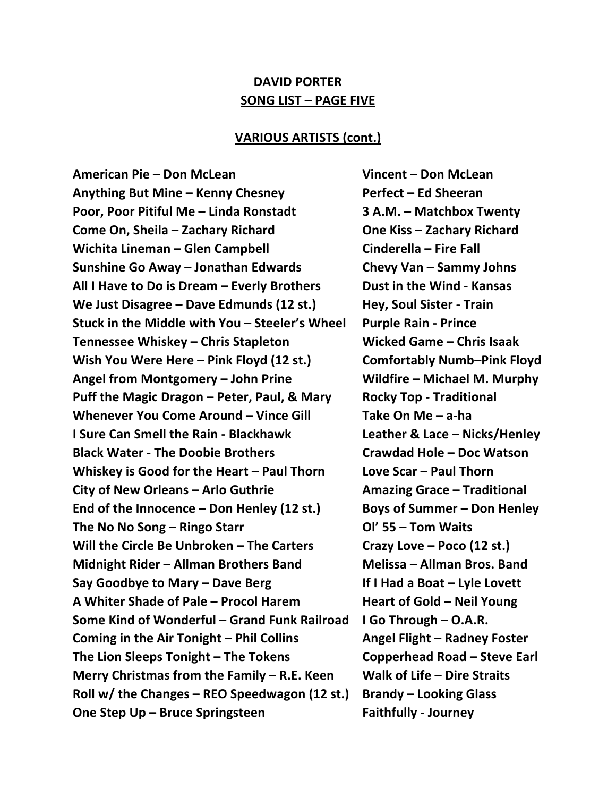## **DAVID PORTER SONG LIST – PAGE FIVE**

### **VARIOUS ARTISTS (cont.)**

**American Pie – Don McLean Vincent – Don McLean Anything But Mine – Kenny Chesney Perfect – Ed Sheeran Poor, Poor Pitiful Me – Linda Ronstadt 3 A.M. – Matchbox Twenty Come On, Sheila – Zachary Richard One Kiss – Zachary Richard Wichita Lineman – Glen Campbell Cinderella – Fire Fall Sunshine Go Away – Jonathan Edwards Chevy Van – Sammy Johns All I Have to Do is Dream – Everly Brothers Dust in the Wind - Kansas We Just Disagree – Dave Edmunds (12 st.) Hey, Soul Sister - Train Stuck in the Middle with You – Steeler's Wheel Purple Rain - Prince Tennessee Whiskey – Chris Stapleton Wicked Game – Chris Isaak Wish You Were Here – Pink Floyd (12 st.) Comfortably Numb–Pink Floyd Angel from Montgomery – John Prine Wildfire – Michael M. Murphy Puff the Magic Dragon – Peter, Paul, & Mary Rocky Top - Traditional Whenever You Come Around – Vince Gill Take On Me – a-ha I Sure Can Smell the Rain - Blackhawk Leather & Lace – Nicks/Henley Black Water - The Doobie Brothers Crawdad Hole – Doc Watson Whiskey is Good for the Heart – Paul Thorn Love Scar – Paul Thorn City of New Orleans – Arlo Guthrie Amazing Grace – Traditional End of the Innocence – Don Henley (12 st.) Boys of Summer – Don Henley The No No Song – Ringo Starr Ol' 55 – Tom Waits Will the Circle Be Unbroken – The Carters Crazy Love – Poco (12 st.) Midnight Rider – Allman Brothers Band Melissa – Allman Bros. Band Say Goodbye to Mary – Dave Berg If I Had a Boat – Lyle Lovett A Whiter Shade of Pale – Procol Harem Heart of Gold – Neil Young Some Kind of Wonderful – Grand Funk Railroad I Go Through – O.A.R. Coming in the Air Tonight – Phil Collins Angel Flight – Radney Foster The Lion Sleeps Tonight – The Tokens Copperhead Road – Steve Earl Merry Christmas from the Family – R.E. Keen Walk of Life – Dire Straits Roll w/ the Changes – REO Speedwagon (12 st.) Brandy – Looking Glass One Step Up – Bruce Springsteen Faithfully - Journey**